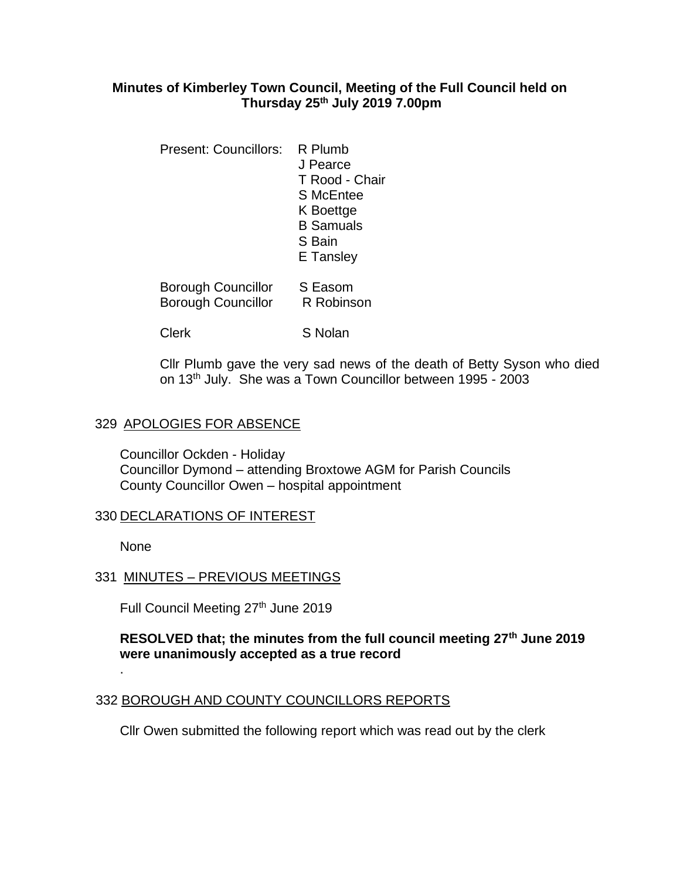## **Minutes of Kimberley Town Council, Meeting of the Full Council held on Thursday 25th July 2019 7.00pm**

- Present: Councillors: R Plumb J Pearce T Rood - Chair S McEntee K Boettge B Samuals S Bain E Tansley
- Borough Councillor S Easom Borough Councillor R Robinson
- Clerk S Nolan

Cllr Plumb gave the very sad news of the death of Betty Syson who died on 13th July. She was a Town Councillor between 1995 - 2003

## 329 APOLOGIES FOR ABSENCE

Councillor Ockden - Holiday Councillor Dymond – attending Broxtowe AGM for Parish Councils County Councillor Owen – hospital appointment

## 330 DECLARATIONS OF INTEREST

None

.

## 331 MINUTES – PREVIOUS MEETINGS

Full Council Meeting 27<sup>th</sup> June 2019

## **RESOLVED that; the minutes from the full council meeting 27th June 2019 were unanimously accepted as a true record**

## 332 BOROUGH AND COUNTY COUNCILLORS REPORTS

Cllr Owen submitted the following report which was read out by the clerk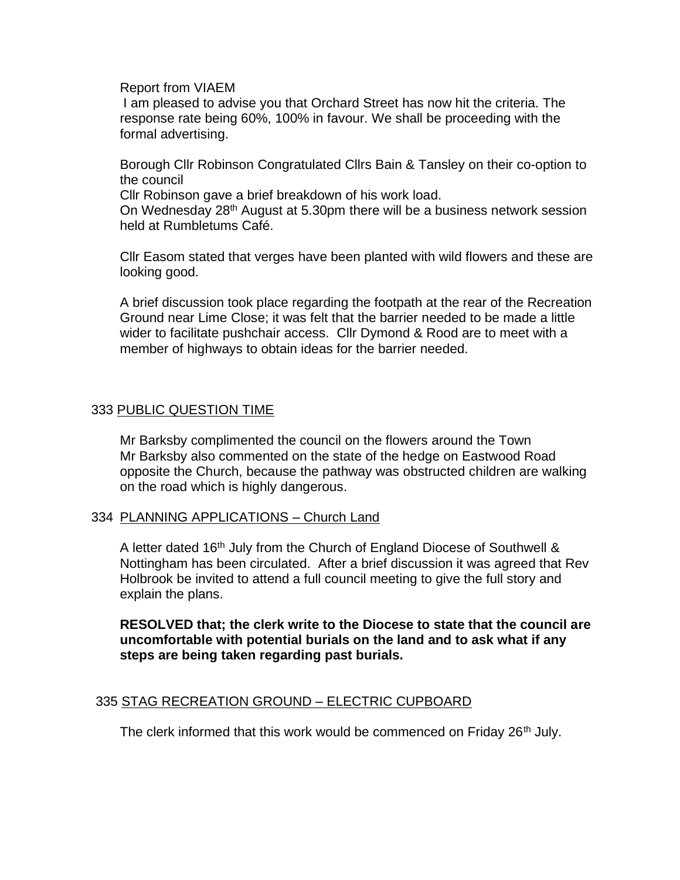Report from VIAEM

I am pleased to advise you that Orchard Street has now hit the criteria. The response rate being 60%, 100% in favour. We shall be proceeding with the formal advertising.

Borough Cllr Robinson Congratulated Cllrs Bain & Tansley on their co-option to the council

Cllr Robinson gave a brief breakdown of his work load.

On Wednesday 28<sup>th</sup> August at 5.30pm there will be a business network session held at Rumbletums Café.

Cllr Easom stated that verges have been planted with wild flowers and these are looking good.

A brief discussion took place regarding the footpath at the rear of the Recreation Ground near Lime Close; it was felt that the barrier needed to be made a little wider to facilitate pushchair access. Cllr Dymond & Rood are to meet with a member of highways to obtain ideas for the barrier needed.

## 333 PUBLIC QUESTION TIME

Mr Barksby complimented the council on the flowers around the Town Mr Barksby also commented on the state of the hedge on Eastwood Road opposite the Church, because the pathway was obstructed children are walking on the road which is highly dangerous.

#### 334 PLANNING APPLICATIONS – Church Land

A letter dated 16th July from the Church of England Diocese of Southwell & Nottingham has been circulated. After a brief discussion it was agreed that Rev Holbrook be invited to attend a full council meeting to give the full story and explain the plans.

**RESOLVED that; the clerk write to the Diocese to state that the council are uncomfortable with potential burials on the land and to ask what if any steps are being taken regarding past burials.**

#### 335 STAG RECREATION GROUND – ELECTRIC CUPBOARD

The clerk informed that this work would be commenced on Friday 26<sup>th</sup> July.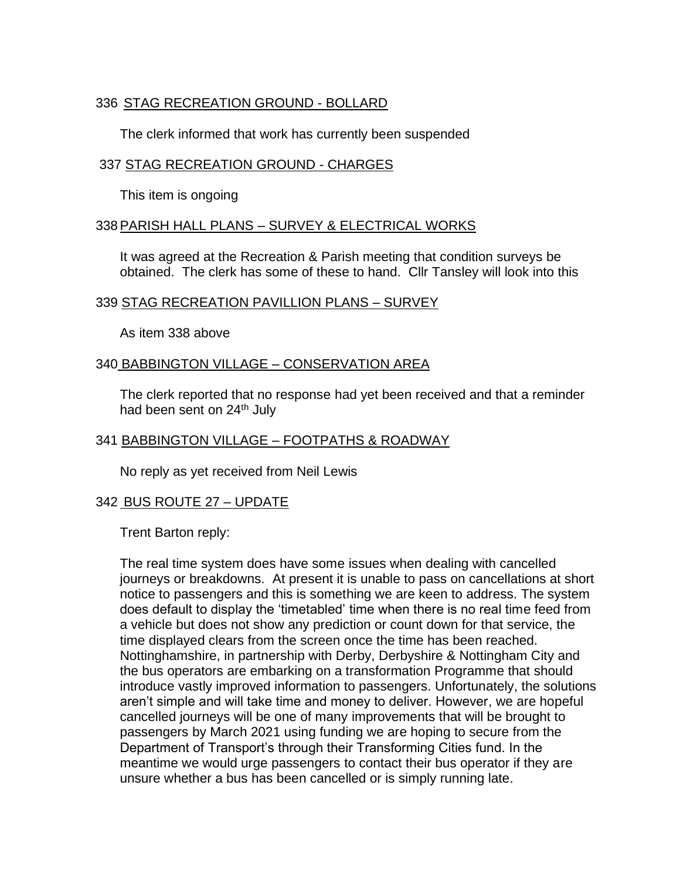# 336 STAG RECREATION GROUND - BOLLARD

The clerk informed that work has currently been suspended

## 337 STAG RECREATION GROUND - CHARGES

This item is ongoing

### 338PARISH HALL PLANS – SURVEY & ELECTRICAL WORKS

It was agreed at the Recreation & Parish meeting that condition surveys be obtained. The clerk has some of these to hand. Cllr Tansley will look into this

### 339 STAG RECREATION PAVILLION PLANS – SURVEY

As item 338 above

### 340 BABBINGTON VILLAGE – CONSERVATION AREA

The clerk reported that no response had yet been received and that a reminder had been sent on 24<sup>th</sup> July

## 341 BABBINGTON VILLAGE – FOOTPATHS & ROADWAY

No reply as yet received from Neil Lewis

## 342 BUS ROUTE 27 – UPDATE

Trent Barton reply:

The real time system does have some issues when dealing with cancelled journeys or breakdowns. At present it is unable to pass on cancellations at short notice to passengers and this is something we are keen to address. The system does default to display the 'timetabled' time when there is no real time feed from a vehicle but does not show any prediction or count down for that service, the time displayed clears from the screen once the time has been reached. Nottinghamshire, in partnership with Derby, Derbyshire & Nottingham City and the bus operators are embarking on a transformation Programme that should introduce vastly improved information to passengers. Unfortunately, the solutions aren't simple and will take time and money to deliver. However, we are hopeful cancelled journeys will be one of many improvements that will be brought to passengers by March 2021 using funding we are hoping to secure from the Department of Transport's through their Transforming Cities fund. In the meantime we would urge passengers to contact their bus operator if they are unsure whether a bus has been cancelled or is simply running late.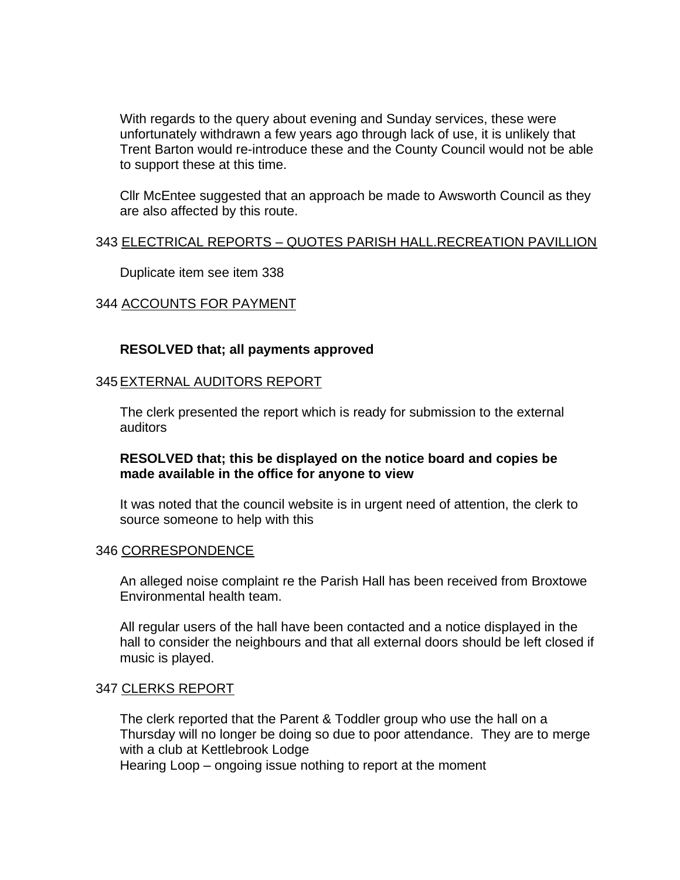With regards to the query about evening and Sunday services, these were unfortunately withdrawn a few years ago through lack of use, it is unlikely that Trent Barton would re-introduce these and the County Council would not be able to support these at this time.

Cllr McEntee suggested that an approach be made to Awsworth Council as they are also affected by this route.

### 343 ELECTRICAL REPORTS – QUOTES PARISH HALL.RECREATION PAVILLION

Duplicate item see item 338

### 344 ACCOUNTS FOR PAYMENT

#### **RESOLVED that; all payments approved**

#### 345EXTERNAL AUDITORS REPORT

The clerk presented the report which is ready for submission to the external auditors

#### **RESOLVED that; this be displayed on the notice board and copies be made available in the office for anyone to view**

It was noted that the council website is in urgent need of attention, the clerk to source someone to help with this

#### 346 CORRESPONDENCE

An alleged noise complaint re the Parish Hall has been received from Broxtowe Environmental health team.

All regular users of the hall have been contacted and a notice displayed in the hall to consider the neighbours and that all external doors should be left closed if music is played.

#### 347 CLERKS REPORT

The clerk reported that the Parent & Toddler group who use the hall on a Thursday will no longer be doing so due to poor attendance. They are to merge with a club at Kettlebrook Lodge

Hearing Loop – ongoing issue nothing to report at the moment